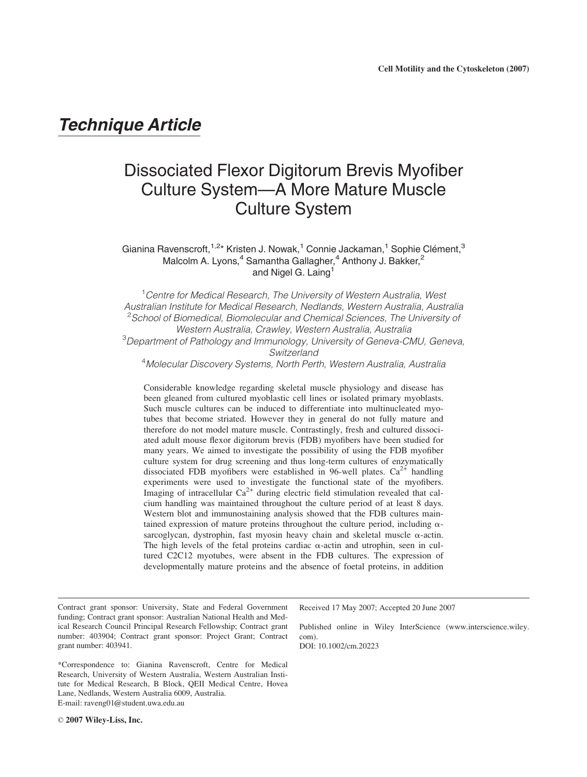# Technique Article

# Dissociated Flexor Digitorum Brevis Myofiber Culture System—A More Mature Muscle Culture System

Gianina Ravenscroft,<sup>1,2</sup>\* Kristen J. Nowak,<sup>1</sup> Connie Jackaman,<sup>1</sup> Sophie Clément,<sup>3</sup> Malcolm A. Lyons,<sup>4</sup> Samantha Gallagher,<sup>4</sup> Anthony J. Bakker,<sup>2</sup> and Nigel G. Laing<sup>1</sup>

<sup>1</sup> Centre for Medical Research, The University of Western Australia, West Australian Institute for Medical Research, Nedlands, Western Australia, Australia <sup>2</sup>School of Biomedical, Biomolecular and Chemical Sciences, The University of Western Australia, Crawley, Western Australia, Australia <sup>3</sup>Department of Pathology and Immunology, University of Geneva-CMU, Geneva, Switzerland

4 Molecular Discovery Systems, North Perth, Western Australia, Australia

Considerable knowledge regarding skeletal muscle physiology and disease has been gleaned from cultured myoblastic cell lines or isolated primary myoblasts. Such muscle cultures can be induced to differentiate into multinucleated myotubes that become striated. However they in general do not fully mature and therefore do not model mature muscle. Contrastingly, fresh and cultured dissociated adult mouse flexor digitorum brevis (FDB) myofibers have been studied for many years. We aimed to investigate the possibility of using the FDB myofiber culture system for drug screening and thus long-term cultures of enzymatically dissociated FDB myofibers were established in 96-well plates.  $Ca^{2+}$  handling experiments were used to investigate the functional state of the myofibers. Imaging of intracellular  $Ca^{2+}$  during electric field stimulation revealed that calcium handling was maintained throughout the culture period of at least 8 days. Western blot and immunostaining analysis showed that the FDB cultures maintained expression of mature proteins throughout the culture period, including  $\alpha$ sarcoglycan, dystrophin, fast myosin heavy chain and skeletal muscle  $\alpha$ -actin. The high levels of the fetal proteins cardiac  $\alpha$ -actin and utrophin, seen in cultured C2C12 myotubes, were absent in the FDB cultures. The expression of developmentally mature proteins and the absence of foetal proteins, in addition

Contract grant sponsor: University, State and Federal Government funding; Contract grant sponsor: Australian National Health and Medical Research Council Principal Research Fellowship; Contract grant number: 403904; Contract grant sponsor: Project Grant; Contract grant number: 403941.

\*Correspondence to: Gianina Ravenscroft, Centre for Medical Research, University of Western Australia, Western Australian Institute for Medical Research, B Block, QEII Medical Centre, Hovea Lane, Nedlands, Western Australia 6009, Australia. E-mail: raveng01@student.uwa.edu.au

Received 17 May 2007; Accepted 20 June 2007

Published online in Wiley InterScience (www.interscience.wiley. com).

DOI: 10.1002/cm.20223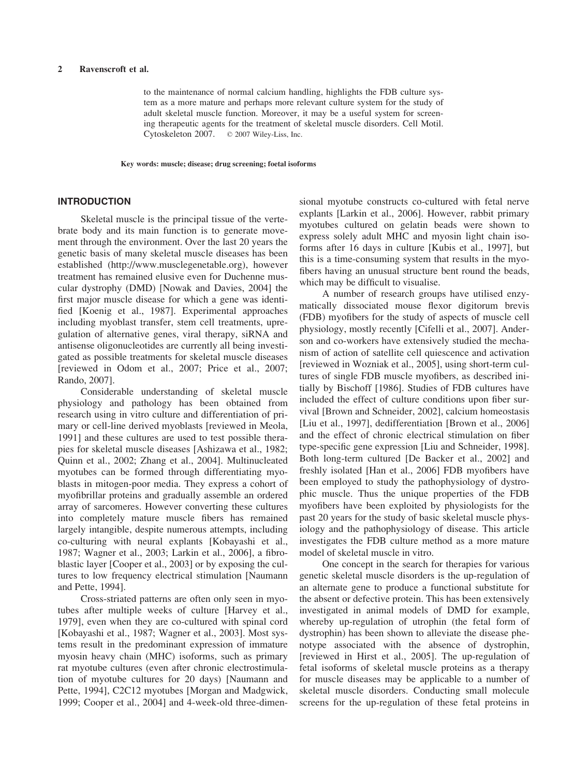to the maintenance of normal calcium handling, highlights the FDB culture system as a more mature and perhaps more relevant culture system for the study of adult skeletal muscle function. Moreover, it may be a useful system for screening therapeutic agents for the treatment of skeletal muscle disorders. Cell Motil. Cytoskeleton 2007. © 2007 Wiley-Liss, Inc.

Key words: muscle; disease; drug screening; foetal isoforms

# INTRODUCTION

Skeletal muscle is the principal tissue of the vertebrate body and its main function is to generate movement through the environment. Over the last 20 years the genetic basis of many skeletal muscle diseases has been established (http://www.musclegenetable.org), however treatment has remained elusive even for Duchenne muscular dystrophy (DMD) [Nowak and Davies, 2004] the first major muscle disease for which a gene was identified [Koenig et al., 1987]. Experimental approaches including myoblast transfer, stem cell treatments, upregulation of alternative genes, viral therapy, siRNA and antisense oligonucleotides are currently all being investigated as possible treatments for skeletal muscle diseases [reviewed in Odom et al., 2007; Price et al., 2007; Rando, 2007].

Considerable understanding of skeletal muscle physiology and pathology has been obtained from research using in vitro culture and differentiation of primary or cell-line derived myoblasts [reviewed in Meola, 1991] and these cultures are used to test possible therapies for skeletal muscle diseases [Ashizawa et al., 1982; Quinn et al., 2002; Zhang et al., 2004]. Multinucleated myotubes can be formed through differentiating myoblasts in mitogen-poor media. They express a cohort of myofibrillar proteins and gradually assemble an ordered array of sarcomeres. However converting these cultures into completely mature muscle fibers has remained largely intangible, despite numerous attempts, including co-culturing with neural explants [Kobayashi et al., 1987; Wagner et al., 2003; Larkin et al., 2006], a fibroblastic layer [Cooper et al., 2003] or by exposing the cultures to low frequency electrical stimulation [Naumann and Pette, 1994].

Cross-striated patterns are often only seen in myotubes after multiple weeks of culture [Harvey et al., 1979], even when they are co-cultured with spinal cord [Kobayashi et al., 1987; Wagner et al., 2003]. Most systems result in the predominant expression of immature myosin heavy chain (MHC) isoforms, such as primary rat myotube cultures (even after chronic electrostimulation of myotube cultures for 20 days) [Naumann and Pette, 1994], C2C12 myotubes [Morgan and Madgwick, 1999; Cooper et al., 2004] and 4-week-old three-dimensional myotube constructs co-cultured with fetal nerve explants [Larkin et al., 2006]. However, rabbit primary myotubes cultured on gelatin beads were shown to express solely adult MHC and myosin light chain isoforms after 16 days in culture [Kubis et al., 1997], but this is a time-consuming system that results in the myofibers having an unusual structure bent round the beads, which may be difficult to visualise.

A number of research groups have utilised enzymatically dissociated mouse flexor digitorum brevis (FDB) myofibers for the study of aspects of muscle cell physiology, mostly recently [Cifelli et al., 2007]. Anderson and co-workers have extensively studied the mechanism of action of satellite cell quiescence and activation [reviewed in Wozniak et al., 2005], using short-term cultures of single FDB muscle myofibers, as described initially by Bischoff [1986]. Studies of FDB cultures have included the effect of culture conditions upon fiber survival [Brown and Schneider, 2002], calcium homeostasis [Liu et al., 1997], dedifferentiation [Brown et al., 2006] and the effect of chronic electrical stimulation on fiber type-specific gene expression [Liu and Schneider, 1998]. Both long-term cultured [De Backer et al., 2002] and freshly isolated [Han et al., 2006] FDB myofibers have been employed to study the pathophysiology of dystrophic muscle. Thus the unique properties of the FDB myofibers have been exploited by physiologists for the past 20 years for the study of basic skeletal muscle physiology and the pathophysiology of disease. This article investigates the FDB culture method as a more mature model of skeletal muscle in vitro.

One concept in the search for therapies for various genetic skeletal muscle disorders is the up-regulation of an alternate gene to produce a functional substitute for the absent or defective protein. This has been extensively investigated in animal models of DMD for example, whereby up-regulation of utrophin (the fetal form of dystrophin) has been shown to alleviate the disease phenotype associated with the absence of dystrophin, [reviewed in Hirst et al., 2005]. The up-regulation of fetal isoforms of skeletal muscle proteins as a therapy for muscle diseases may be applicable to a number of skeletal muscle disorders. Conducting small molecule screens for the up-regulation of these fetal proteins in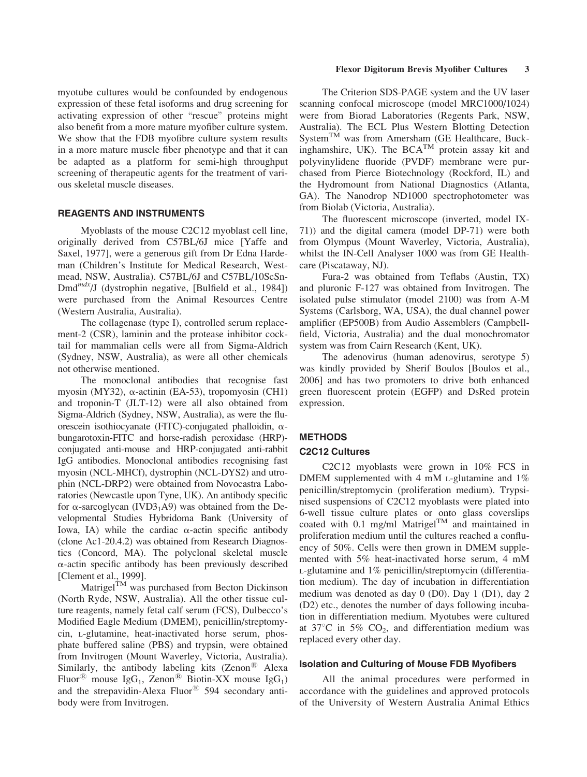myotube cultures would be confounded by endogenous expression of these fetal isoforms and drug screening for activating expression of other \rescue" proteins might also benefit from a more mature myofiber culture system. We show that the FDB myofibre culture system results in a more mature muscle fiber phenotype and that it can be adapted as a platform for semi-high throughput screening of therapeutic agents for the treatment of various skeletal muscle diseases.

## REAGENTS AND INSTRUMENTS

Myoblasts of the mouse C2C12 myoblast cell line, originally derived from C57BL/6J mice [Yaffe and Saxel, 1977], were a generous gift from Dr Edna Hardeman (Children's Institute for Medical Research, Westmead, NSW, Australia). C57BL/6J and C57BL/10ScSn- $D\text{m}d^{mdx}/J$  (dystrophin negative, [Bulfield et al., 1984]) were purchased from the Animal Resources Centre (Western Australia, Australia).

The collagenase (type I), controlled serum replacement-2 (CSR), laminin and the protease inhibitor cocktail for mammalian cells were all from Sigma-Aldrich (Sydney, NSW, Australia), as were all other chemicals not otherwise mentioned.

The monoclonal antibodies that recognise fast myosin (MY32),  $\alpha$ -actinin (EA-53), tropomyosin (CH1) and troponin-T (JLT-12) were all also obtained from Sigma-Aldrich (Sydney, NSW, Australia), as were the fluorescein isothiocyanate (FITC)-conjugated phalloidin,  $\alpha$ bungarotoxin-FITC and horse-radish peroxidase (HRP) conjugated anti-mouse and HRP-conjugated anti-rabbit IgG antibodies. Monoclonal antibodies recognising fast myosin (NCL-MHCf), dystrophin (NCL-DYS2) and utrophin (NCL-DRP2) were obtained from Novocastra Laboratories (Newcastle upon Tyne, UK). An antibody specific for  $\alpha$ -sarcoglycan (IVD3<sub>1</sub>A9) was obtained from the Developmental Studies Hybridoma Bank (University of Iowa, IA) while the cardiac  $\alpha$ -actin specific antibody (clone Ac1-20.4.2) was obtained from Research Diagnostics (Concord, MA). The polyclonal skeletal muscle  $\alpha$ -actin specific antibody has been previously described [Clement et al., 1999].

Matrigel<sup>TM</sup> was purchased from Becton Dickinson (North Ryde, NSW, Australia). All the other tissue culture reagents, namely fetal calf serum (FCS), Dulbecco's Modified Eagle Medium (DMEM), penicillin/streptomycin, L-glutamine, heat-inactivated horse serum, phosphate buffered saline (PBS) and trypsin, were obtained from Invitrogen (Mount Waverley, Victoria, Australia). Similarly, the antibody labeling kits (Zenon $^{\circledR}$  Alexa Fluor<sup>®</sup> mouse IgG<sub>1</sub>, Zenon<sup>®</sup> Biotin-XX mouse IgG<sub>1</sub>) and the strepavidin-Alexa Fluor $\textcircled{B}$  594 secondary antibody were from Invitrogen.

#### Flexor Digitorum Brevis Myofiber Cultures 3

The Criterion SDS-PAGE system and the UV laser scanning confocal microscope (model MRC1000/1024) were from Biorad Laboratories (Regents Park, NSW, Australia). The ECL Plus Western Blotting Detection System<sup>TM</sup> was from Amersham (GE Healthcare, Buckinghamshire, UK). The BCA<sup>TM</sup> protein assay kit and polyvinylidene fluoride (PVDF) membrane were purchased from Pierce Biotechnology (Rockford, IL) and the Hydromount from National Diagnostics (Atlanta, GA). The Nanodrop ND1000 spectrophotometer was from Biolab (Victoria, Australia).

The fluorescent microscope (inverted, model IX-71)) and the digital camera (model DP-71) were both from Olympus (Mount Waverley, Victoria, Australia), whilst the IN-Cell Analyser 1000 was from GE Healthcare (Piscataway, NJ).

Fura-2 was obtained from Teflabs (Austin, TX) and pluronic F-127 was obtained from Invitrogen. The isolated pulse stimulator (model 2100) was from A-M Systems (Carlsborg, WA, USA), the dual channel power amplifier (EP500B) from Audio Assemblers (Campbellfield, Victoria, Australia) and the dual monochromator system was from Cairn Research (Kent, UK).

The adenovirus (human adenovirus, serotype 5) was kindly provided by Sherif Boulos [Boulos et al., 2006] and has two promoters to drive both enhanced green fluorescent protein (EGFP) and DsRed protein expression.

# **METHODS**

# C2C12 Cultures

C2C12 myoblasts were grown in 10% FCS in DMEM supplemented with 4 mM L-glutamine and 1% penicillin/streptomycin (proliferation medium). Trypsinised suspensions of C2C12 myoblasts were plated into 6-well tissue culture plates or onto glass coverslips coated with 0.1 mg/ml Matrigel<sup>TM</sup> and maintained in proliferation medium until the cultures reached a confluency of 50%. Cells were then grown in DMEM supplemented with 5% heat-inactivated horse serum, 4 mM L-glutamine and 1% penicillin/streptomycin (differentiation medium). The day of incubation in differentiation medium was denoted as day 0 (D0). Day 1 (D1), day 2 (D2) etc., denotes the number of days following incubation in differentiation medium. Myotubes were cultured at 37 $\degree$ C in 5% CO<sub>2</sub>, and differentiation medium was replaced every other day.

#### Isolation and Culturing of Mouse FDB Myofibers

All the animal procedures were performed in accordance with the guidelines and approved protocols of the University of Western Australia Animal Ethics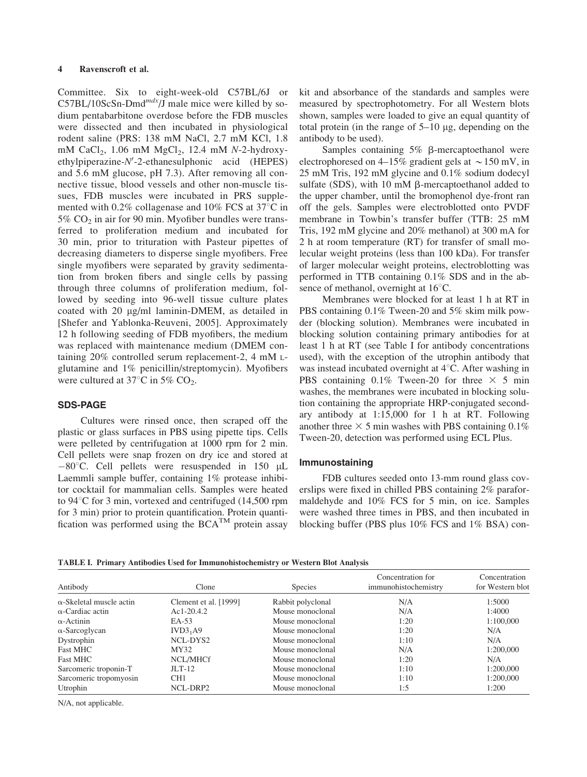Committee. Six to eight-week-old C57BL/6J or  $C57BL/10ScSn-Dmd^{mdx}/J$  male mice were killed by sodium pentabarbitone overdose before the FDB muscles were dissected and then incubated in physiological rodent saline (PRS: 138 mM NaCl, 2.7 mM KCl, 1.8 mM CaCl<sub>2</sub>, 1.06 mM MgCl<sub>2</sub>, 12.4 mM N-2-hydroxyethylpiperazine-N'-2-ethanesulphonic acid (HEPES) and 5.6 mM glucose, pH 7.3). After removing all connective tissue, blood vessels and other non-muscle tissues, FDB muscles were incubated in PRS supplemented with  $0.2\%$  collagenase and  $10\%$  FCS at 37 $\degree$ C in 5%  $CO<sub>2</sub>$  in air for 90 min. Myofiber bundles were transferred to proliferation medium and incubated for 30 min, prior to trituration with Pasteur pipettes of decreasing diameters to disperse single myofibers. Free single myofibers were separated by gravity sedimentation from broken fibers and single cells by passing through three columns of proliferation medium, followed by seeding into 96-well tissue culture plates coated with 20 µg/ml laminin-DMEM, as detailed in [Shefer and Yablonka-Reuveni, 2005]. Approximately 12 h following seeding of FDB myofibers, the medium was replaced with maintenance medium (DMEM containing 20% controlled serum replacement-2, 4 mM Lglutamine and 1% penicillin/streptomycin). Myofibers were cultured at 37 $\degree$ C in 5% CO<sub>2</sub>.

## SDS-PAGE

Cultures were rinsed once, then scraped off the plastic or glass surfaces in PBS using pipette tips. Cells were pelleted by centrifugation at 1000 rpm for 2 min. Cell pellets were snap frozen on dry ice and stored at  $-80^{\circ}$ C. Cell pellets were resuspended in 150 µL Laemmli sample buffer, containing 1% protease inhibitor cocktail for mammalian cells. Samples were heated to  $94^{\circ}$ C for 3 min, vortexed and centrifuged (14,500 rpm for 3 min) prior to protein quantification. Protein quantification was performed using the  $BCA^{TM}$  protein assay kit and absorbance of the standards and samples were measured by spectrophotometry. For all Western blots shown, samples were loaded to give an equal quantity of total protein (in the range of  $5-10 \mu$ g, depending on the antibody to be used).

Samples containing  $5\%$   $\beta$ -mercaptoethanol were electrophoresed on 4–15% gradient gels at  $\sim$  150 mV, in 25 mM Tris, 192 mM glycine and 0.1% sodium dodecyl sulfate (SDS), with  $10 \text{ mM } \beta$ -mercaptoethanol added to the upper chamber, until the bromophenol dye-front ran off the gels. Samples were electroblotted onto PVDF membrane in Towbin's transfer buffer (TTB: 25 mM Tris, 192 mM glycine and 20% methanol) at 300 mA for 2 h at room temperature (RT) for transfer of small molecular weight proteins (less than 100 kDa). For transfer of larger molecular weight proteins, electroblotting was performed in TTB containing 0.1% SDS and in the absence of methanol, overnight at  $16^{\circ}$ C.

Membranes were blocked for at least 1 h at RT in PBS containing 0.1% Tween-20 and 5% skim milk powder (blocking solution). Membranes were incubated in blocking solution containing primary antibodies for at least 1 h at RT (see Table I for antibody concentrations used), with the exception of the utrophin antibody that was instead incubated overnight at  $4^{\circ}$ C. After washing in PBS containing 0.1% Tween-20 for three  $\times$  5 min washes, the membranes were incubated in blocking solution containing the appropriate HRP-conjugated secondary antibody at 1:15,000 for 1 h at RT. Following another three  $\times$  5 min washes with PBS containing 0.1% Tween-20, detection was performed using ECL Plus.

## Immunostaining

FDB cultures seeded onto 13-mm round glass coverslips were fixed in chilled PBS containing 2% paraformaldehyde and 10% FCS for 5 min, on ice. Samples were washed three times in PBS, and then incubated in blocking buffer (PBS plus 10% FCS and 1% BSA) con-

| Antibody                        | Clone                 | <b>Species</b>    | Concentration for<br>immunohistochemistry | Concentration<br>for Western blot |
|---------------------------------|-----------------------|-------------------|-------------------------------------------|-----------------------------------|
| $\alpha$ -Skeletal muscle actin | Clement et al. [1999] | Rabbit polyclonal | N/A                                       | 1:5000                            |
| $\alpha$ -Cardiac actin         | $Ac1-20.4.2$          | Mouse monoclonal  | N/A                                       | 1:4000                            |
| $\alpha$ -Actinin               | EA-53                 | Mouse monoclonal  | 1:20                                      | 1:100,000                         |
| $\alpha$ -Sarcoglycan           | IVD3 <sub>1</sub> A9  | Mouse monoclonal  | 1:20                                      | N/A                               |
| Dystrophin                      | NCL-DYS2              | Mouse monoclonal  | 1:10                                      | N/A                               |
| <b>Fast MHC</b>                 | MY32                  | Mouse monoclonal  | N/A                                       | 1:200,000                         |
| <b>Fast MHC</b>                 | NCL/MHCf              | Mouse monoclonal  | 1:20                                      | N/A                               |
| Sarcomeric troponin-T           | $JLT-12$              | Mouse monoclonal  | 1:10                                      | 1:200,000                         |
| Sarcomeric tropomyosin          | CH <sub>1</sub>       | Mouse monoclonal  | 1:10                                      | 1:200,000                         |
| Utrophin                        | NCL-DRP2              | Mouse monoclonal  | 1:5                                       | 1:200                             |

N/A, not applicable.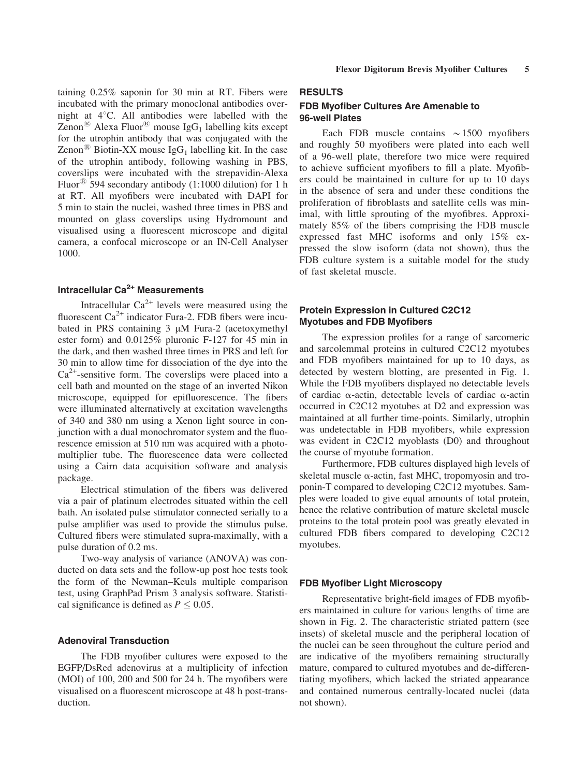taining 0.25% saponin for 30 min at RT. Fibers were incubated with the primary monoclonal antibodies overnight at  $4^{\circ}$ C. All antibodies were labelled with the Zenon<sup>®</sup> Alexa Fluor<sup>®</sup> mouse IgG<sub>1</sub> labelling kits except for the utrophin antibody that was conjugated with the Zenon<sup>®</sup> Biotin-XX mouse IgG<sub>1</sub> labelling kit. In the case of the utrophin antibody, following washing in PBS, coverslips were incubated with the strepavidin-Alexa Fluor<sup>®</sup> 594 secondary antibody (1:1000 dilution) for 1 h at RT. All myofibers were incubated with DAPI for 5 min to stain the nuclei, washed three times in PBS and mounted on glass coverslips using Hydromount and visualised using a fluorescent microscope and digital camera, a confocal microscope or an IN-Cell Analyser 1000.

# Intracellular  $Ca<sup>2+</sup>$  Measurements

Intracellular  $Ca^{2+}$  levels were measured using the fluorescent  $Ca^{2+}$  indicator Fura-2. FDB fibers were incubated in PRS containing  $3 \mu M$  Fura-2 (acetoxymethyl ester form) and 0.0125% pluronic F-127 for 45 min in the dark, and then washed three times in PRS and left for 30 min to allow time for dissociation of the dye into the  $Ca<sup>2+</sup>$ -sensitive form. The coverslips were placed into a cell bath and mounted on the stage of an inverted Nikon microscope, equipped for epifluorescence. The fibers were illuminated alternatively at excitation wavelengths of 340 and 380 nm using a Xenon light source in conjunction with a dual monochromator system and the fluorescence emission at 510 nm was acquired with a photomultiplier tube. The fluorescence data were collected using a Cairn data acquisition software and analysis package.

Electrical stimulation of the fibers was delivered via a pair of platinum electrodes situated within the cell bath. An isolated pulse stimulator connected serially to a pulse amplifier was used to provide the stimulus pulse. Cultured fibers were stimulated supra-maximally, with a pulse duration of 0.2 ms.

Two-way analysis of variance (ANOVA) was conducted on data sets and the follow-up post hoc tests took the form of the Newman–Keuls multiple comparison test, using GraphPad Prism 3 analysis software. Statistical significance is defined as  $P \leq 0.05$ .

## Adenoviral Transduction

The FDB myofiber cultures were exposed to the EGFP/DsRed adenovirus at a multiplicity of infection (MOI) of 100, 200 and 500 for 24 h. The myofibers were visualised on a fluorescent microscope at 48 h post-transduction.

## RESULTS

# FDB Myofiber Cultures Are Amenable to 96-well Plates

Each FDB muscle contains  $\sim$ 1500 myofibers and roughly 50 myofibers were plated into each well of a 96-well plate, therefore two mice were required to achieve sufficient myofibers to fill a plate. Myofibers could be maintained in culture for up to 10 days in the absence of sera and under these conditions the proliferation of fibroblasts and satellite cells was minimal, with little sprouting of the myofibres. Approximately 85% of the fibers comprising the FDB muscle expressed fast MHC isoforms and only 15% expressed the slow isoform (data not shown), thus the FDB culture system is a suitable model for the study of fast skeletal muscle.

## Protein Expression in Cultured C2C12 Myotubes and FDB Myofibers

The expression profiles for a range of sarcomeric and sarcolemmal proteins in cultured C2C12 myotubes and FDB myofibers maintained for up to 10 days, as detected by western blotting, are presented in Fig. 1. While the FDB myofibers displayed no detectable levels of cardiac  $\alpha$ -actin, detectable levels of cardiac  $\alpha$ -actin occurred in C2C12 myotubes at D2 and expression was maintained at all further time-points. Similarly, utrophin was undetectable in FDB myofibers, while expression was evident in C2C12 myoblasts (D0) and throughout the course of myotube formation.

Furthermore, FDB cultures displayed high levels of skeletal muscle  $\alpha$ -actin, fast MHC, tropomyosin and troponin-T compared to developing C2C12 myotubes. Samples were loaded to give equal amounts of total protein, hence the relative contribution of mature skeletal muscle proteins to the total protein pool was greatly elevated in cultured FDB fibers compared to developing C2C12 myotubes.

### FDB Myofiber Light Microscopy

Representative bright-field images of FDB myofibers maintained in culture for various lengths of time are shown in Fig. 2. The characteristic striated pattern (see insets) of skeletal muscle and the peripheral location of the nuclei can be seen throughout the culture period and are indicative of the myofibers remaining structurally mature, compared to cultured myotubes and de-differentiating myofibers, which lacked the striated appearance and contained numerous centrally-located nuclei (data not shown).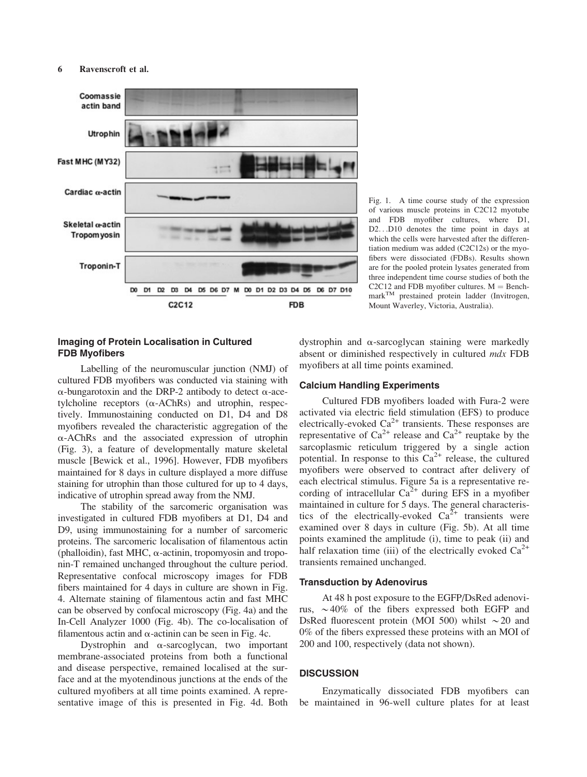

Fig. 1. A time course study of the expression of various muscle proteins in C2C12 myotube and FDB myofiber cultures, where D1, D2. . .D10 denotes the time point in days at which the cells were harvested after the differentiation medium was added (C2C12s) or the myofibers were dissociated (FDBs). Results shown are for the pooled protein lysates generated from three independent time course studies of both the C2C12 and FDB myofiber cultures.  $M =$  BenchmarkTM prestained protein ladder (Invitrogen, Mount Waverley, Victoria, Australia).

# Imaging of Protein Localisation in Cultured FDB Myofibers

Labelling of the neuromuscular junction (NMJ) of cultured FDB myofibers was conducted via staining with  $\alpha$ -bungarotoxin and the DRP-2 antibody to detect  $\alpha$ -acetylcholine receptors  $(\alpha$ -AChRs) and utrophin, respectively. Immunostaining conducted on D1, D4 and D8 myofibers revealed the characteristic aggregation of the  $\alpha$ -AChRs and the associated expression of utrophin (Fig. 3), a feature of developmentally mature skeletal muscle [Bewick et al., 1996]. However, FDB myofibers maintained for 8 days in culture displayed a more diffuse staining for utrophin than those cultured for up to 4 days, indicative of utrophin spread away from the NMJ.

The stability of the sarcomeric organisation was investigated in cultured FDB myofibers at D1, D4 and D9, using immunostaining for a number of sarcomeric proteins. The sarcomeric localisation of filamentous actin (phalloidin), fast MHC,  $\alpha$ -actinin, tropomyosin and troponin-T remained unchanged throughout the culture period. Representative confocal microscopy images for FDB fibers maintained for 4 days in culture are shown in Fig. 4. Alternate staining of filamentous actin and fast MHC can be observed by confocal microscopy (Fig. 4a) and the In-Cell Analyzer 1000 (Fig. 4b). The co-localisation of filamentous actin and  $\alpha$ -actinin can be seen in Fig. 4c.

Dystrophin and  $\alpha$ -sarcoglycan, two important membrane-associated proteins from both a functional and disease perspective, remained localised at the surface and at the myotendinous junctions at the ends of the cultured myofibers at all time points examined. A representative image of this is presented in Fig. 4d. Both dystrophin and  $\alpha$ -sarcoglycan staining were markedly absent or diminished respectively in cultured mdx FDB myofibers at all time points examined.

## Calcium Handling Experiments

Cultured FDB myofibers loaded with Fura-2 were activated via electric field stimulation (EFS) to produce electrically-evoked  $Ca^{2+}$  transients. These responses are representative of  $Ca^{2+}$  release and  $Ca^{2+}$  reuptake by the sarcoplasmic reticulum triggered by a single action potential. In response to this  $Ca^{2+}$  release, the cultured myofibers were observed to contract after delivery of each electrical stimulus. Figure 5a is a representative recording of intracellular  $Ca^{2+}$  during EFS in a myofiber maintained in culture for 5 days. The general characteristics of the electrically-evoked  $Ca^{2+}$  transients were examined over 8 days in culture (Fig. 5b). At all time points examined the amplitude (i), time to peak (ii) and half relaxation time (iii) of the electrically evoked  $Ca^{2+}$ transients remained unchanged.

## Transduction by Adenovirus

At 48 h post exposure to the EGFP/DsRed adenovirus,  $\sim$  40% of the fibers expressed both EGFP and DsRed fluorescent protein (MOI 500) whilst  $\sim$  20 and 0% of the fibers expressed these proteins with an MOI of 200 and 100, respectively (data not shown).

## **DISCUSSION**

Enzymatically dissociated FDB myofibers can be maintained in 96-well culture plates for at least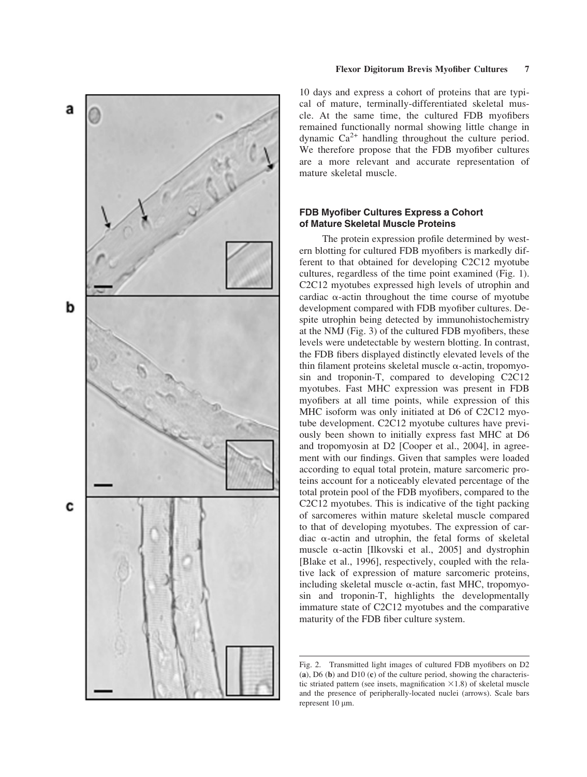

## Flexor Digitorum Brevis Myofiber Cultures 7

10 days and express a cohort of proteins that are typical of mature, terminally-differentiated skeletal muscle. At the same time, the cultured FDB myofibers remained functionally normal showing little change in dynamic  $Ca^{2+}$  handling throughout the culture period. We therefore propose that the FDB myofiber cultures are a more relevant and accurate representation of mature skeletal muscle.

# FDB Myofiber Cultures Express a Cohort of Mature Skeletal Muscle Proteins

The protein expression profile determined by western blotting for cultured FDB myofibers is markedly different to that obtained for developing C2C12 myotube cultures, regardless of the time point examined (Fig. 1). C2C12 myotubes expressed high levels of utrophin and cardiac  $\alpha$ -actin throughout the time course of myotube development compared with FDB myofiber cultures. Despite utrophin being detected by immunohistochemistry at the NMJ (Fig. 3) of the cultured FDB myofibers, these levels were undetectable by western blotting. In contrast, the FDB fibers displayed distinctly elevated levels of the thin filament proteins skeletal muscle  $\alpha$ -actin, tropomyosin and troponin-T, compared to developing C2C12 myotubes. Fast MHC expression was present in FDB myofibers at all time points, while expression of this MHC isoform was only initiated at D6 of C2C12 myotube development. C2C12 myotube cultures have previously been shown to initially express fast MHC at D6 and tropomyosin at D2 [Cooper et al., 2004], in agreement with our findings. Given that samples were loaded according to equal total protein, mature sarcomeric proteins account for a noticeably elevated percentage of the total protein pool of the FDB myofibers, compared to the C2C12 myotubes. This is indicative of the tight packing of sarcomeres within mature skeletal muscle compared to that of developing myotubes. The expression of cardiac  $\alpha$ -actin and utrophin, the fetal forms of skeletal muscle  $\alpha$ -actin [Ilkovski et al., 2005] and dystrophin [Blake et al., 1996], respectively, coupled with the relative lack of expression of mature sarcomeric proteins, including skeletal muscle  $\alpha$ -actin, fast MHC, tropomyosin and troponin-T, highlights the developmentally immature state of C2C12 myotubes and the comparative maturity of the FDB fiber culture system.

Fig. 2. Transmitted light images of cultured FDB myofibers on D2 (a), D6 (b) and D10 (c) of the culture period, showing the characteristic striated pattern (see insets, magnification  $\times$ 1.8) of skeletal muscle and the presence of peripherally-located nuclei (arrows). Scale bars represent  $10 \mu m$ .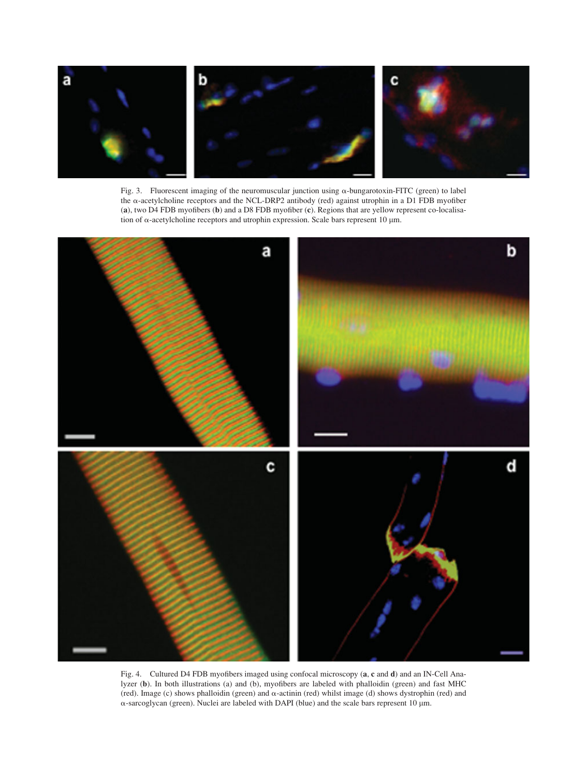

Fig. 3. Fluorescent imaging of the neuromuscular junction using a-bungarotoxin-FITC (green) to label the a-acetylcholine receptors and the NCL-DRP2 antibody (red) against utrophin in a D1 FDB myofiber (a), two D4 FDB myofibers (b) and a D8 FDB myofiber (c). Regions that are yellow represent co-localisation of  $\alpha$ -acetylcholine receptors and utrophin expression. Scale bars represent 10  $\mu$ m.



Fig. 4. Cultured D4 FDB myofibers imaged using confocal microscopy (a, c and d) and an IN-Cell Analyzer (b). In both illustrations (a) and (b), myofibers are labeled with phalloidin (green) and fast MHC (red). Image (c) shows phalloidin (green) and  $\alpha$ -actinin (red) whilst image (d) shows dystrophin (red) and  $\alpha$ -sarcoglycan (green). Nuclei are labeled with DAPI (blue) and the scale bars represent 10  $\mu$ m.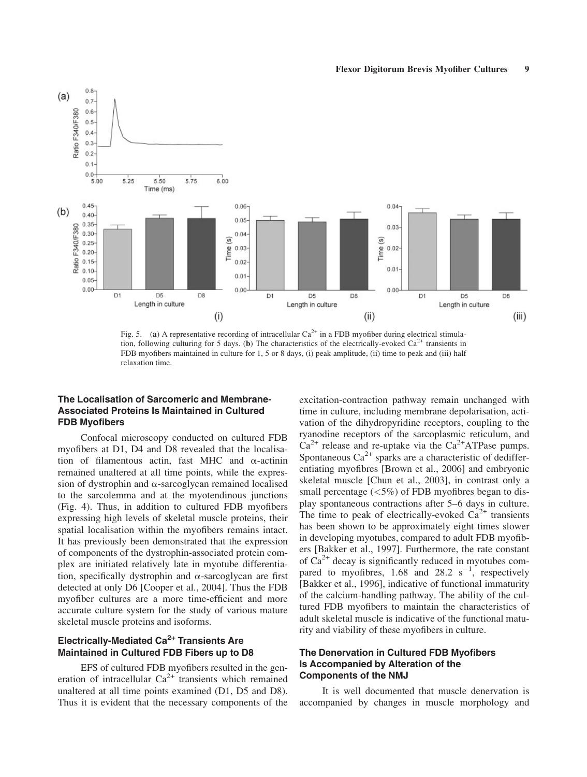

Fig. 5. (a) A representative recording of intracellular  $Ca^{2+}$  in a FDB myofiber during electrical stimulation, following culturing for 5 days. (b) The characteristics of the electrically-evoked  $Ca^{2+}$  transients in FDB myofibers maintained in culture for 1, 5 or 8 days, (i) peak amplitude, (ii) time to peak and (iii) half relaxation time.

# The Localisation of Sarcomeric and Membrane-Associated Proteins Is Maintained in Cultured FDB Myofibers

Confocal microscopy conducted on cultured FDB myofibers at D1, D4 and D8 revealed that the localisation of filamentous actin, fast MHC and  $\alpha$ -actinin remained unaltered at all time points, while the expression of dystrophin and  $\alpha$ -sarcoglycan remained localised to the sarcolemma and at the myotendinous junctions (Fig. 4). Thus, in addition to cultured FDB myofibers expressing high levels of skeletal muscle proteins, their spatial localisation within the myofibers remains intact. It has previously been demonstrated that the expression of components of the dystrophin-associated protein complex are initiated relatively late in myotube differentiation, specifically dystrophin and  $\alpha$ -sarcoglycan are first detected at only D6 [Cooper et al., 2004]. Thus the FDB myofiber cultures are a more time-efficient and more accurate culture system for the study of various mature skeletal muscle proteins and isoforms.

# Electrically-Mediated Ca<sup>2+</sup> Transients Are Maintained in Cultured FDB Fibers up to D8

EFS of cultured FDB myofibers resulted in the generation of intracellular  $Ca^{2+}$  transients which remained unaltered at all time points examined (D1, D5 and D8). Thus it is evident that the necessary components of the excitation-contraction pathway remain unchanged with time in culture, including membrane depolarisation, activation of the dihydropyridine receptors, coupling to the ryanodine receptors of the sarcoplasmic reticulum, and  $Ca^{2+}$  release and re-uptake via the  $Ca^{2+}ATP$ ase pumps. Spontaneous  $Ca^{2+}$  sparks are a characteristic of dedifferentiating myofibres [Brown et al., 2006] and embryonic skeletal muscle [Chun et al., 2003], in contrast only a small percentage  $\left\langle \langle 5\% \rangle \right\rangle$  of FDB myofibres began to display spontaneous contractions after 5–6 days in culture. The time to peak of electrically-evoked  $Ca<sup>2+</sup>$  transients has been shown to be approximately eight times slower in developing myotubes, compared to adult FDB myofibers [Bakker et al., 1997]. Furthermore, the rate constant of  $Ca^{2+}$  decay is significantly reduced in myotubes compared to myofibres, 1.68 and 28.2  $s^{-1}$ , respectively [Bakker et al., 1996], indicative of functional immaturity of the calcium-handling pathway. The ability of the cultured FDB myofibers to maintain the characteristics of adult skeletal muscle is indicative of the functional maturity and viability of these myofibers in culture.

# The Denervation in Cultured FDB Myofibers Is Accompanied by Alteration of the Components of the NMJ

It is well documented that muscle denervation is accompanied by changes in muscle morphology and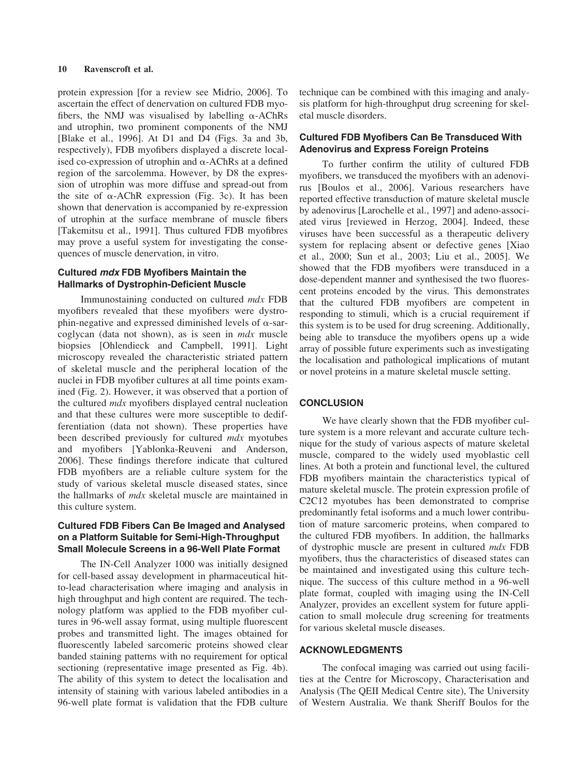protein expression [for a review see Midrio, 2006]. To ascertain the effect of denervation on cultured FDB myofibers, the NMJ was visualised by labelling  $\alpha$ -AChRs and utrophin, two prominent components of the NMJ [Blake et al., 1996]. At D1 and D4 (Figs. 3a and 3b, respectively), FDB myofibers displayed a discrete localised co-expression of utrophin and  $\alpha$ -AChRs at a defined region of the sarcolemma. However, by D8 the expression of utrophin was more diffuse and spread-out from the site of  $\alpha$ -AChR expression (Fig. 3c). It has been shown that denervation is accompanied by re-expression of utrophin at the surface membrane of muscle fibers [Takemitsu et al., 1991]. Thus cultured FDB myofibres may prove a useful system for investigating the consequences of muscle denervation, in vitro.

# Cultured mdx FDB Myofibers Maintain the Hallmarks of Dystrophin-Deficient Muscle

Immunostaining conducted on cultured mdx FDB myofibers revealed that these myofibers were dystrophin-negative and expressed diminished levels of  $\alpha$ -sarcoglycan (data not shown), as is seen in mdx muscle biopsies [Ohlendieck and Campbell, 1991]. Light microscopy revealed the characteristic striated pattern of skeletal muscle and the peripheral location of the nuclei in FDB myofiber cultures at all time points examined (Fig. 2). However, it was observed that a portion of the cultured *mdx* myofibers displayed central nucleation and that these cultures were more susceptible to dedifferentiation (data not shown). These properties have been described previously for cultured *mdx* myotubes and myofibers [Yablonka-Reuveni and Anderson, 2006]. These findings therefore indicate that cultured FDB myofibers are a reliable culture system for the study of various skeletal muscle diseased states, since the hallmarks of mdx skeletal muscle are maintained in this culture system.

# Cultured FDB Fibers Can Be Imaged and Analysed on a Platform Suitable for Semi-High-Throughput Small Molecule Screens in a 96-Well Plate Format

The IN-Cell Analyzer 1000 was initially designed for cell-based assay development in pharmaceutical hitto-lead characterisation where imaging and analysis in high throughput and high content are required. The technology platform was applied to the FDB myofiber cultures in 96-well assay format, using multiple fluorescent probes and transmitted light. The images obtained for fluorescently labeled sarcomeric proteins showed clear banded staining patterns with no requirement for optical sectioning (representative image presented as Fig. 4b). The ability of this system to detect the localisation and intensity of staining with various labeled antibodies in a 96-well plate format is validation that the FDB culture

technique can be combined with this imaging and analysis platform for high-throughput drug screening for skeletal muscle disorders.

# Cultured FDB Myofibers Can Be Transduced With Adenovirus and Express Foreign Proteins

To further confirm the utility of cultured FDB myofibers, we transduced the myofibers with an adenovirus [Boulos et al., 2006]. Various researchers have reported effective transduction of mature skeletal muscle by adenovirus [Larochelle et al., 1997] and adeno-associated virus [reviewed in Herzog, 2004]. Indeed, these viruses have been successful as a therapeutic delivery system for replacing absent or defective genes [Xiao et al., 2000; Sun et al., 2003; Liu et al., 2005]. We showed that the FDB myofibers were transduced in a dose-dependent manner and synthesised the two fluorescent proteins encoded by the virus. This demonstrates that the cultured FDB myofibers are competent in responding to stimuli, which is a crucial requirement if this system is to be used for drug screening. Additionally, being able to transduce the myofibers opens up a wide array of possible future experiments such as investigating the localisation and pathological implications of mutant or novel proteins in a mature skeletal muscle setting.

# **CONCLUSION**

We have clearly shown that the FDB myofiber culture system is a more relevant and accurate culture technique for the study of various aspects of mature skeletal muscle, compared to the widely used myoblastic cell lines. At both a protein and functional level, the cultured FDB myofibers maintain the characteristics typical of mature skeletal muscle. The protein expression profile of C2C12 myotubes has been demonstrated to comprise predominantly fetal isoforms and a much lower contribution of mature sarcomeric proteins, when compared to the cultured FDB myofibers. In addition, the hallmarks of dystrophic muscle are present in cultured mdx FDB myofibers, thus the characteristics of diseased states can be maintained and investigated using this culture technique. The success of this culture method in a 96-well plate format, coupled with imaging using the IN-Cell Analyzer, provides an excellent system for future application to small molecule drug screening for treatments for various skeletal muscle diseases.

## ACKNOWLEDGMENTS

The confocal imaging was carried out using facilities at the Centre for Microscopy, Characterisation and Analysis (The QEII Medical Centre site), The University of Western Australia. We thank Sheriff Boulos for the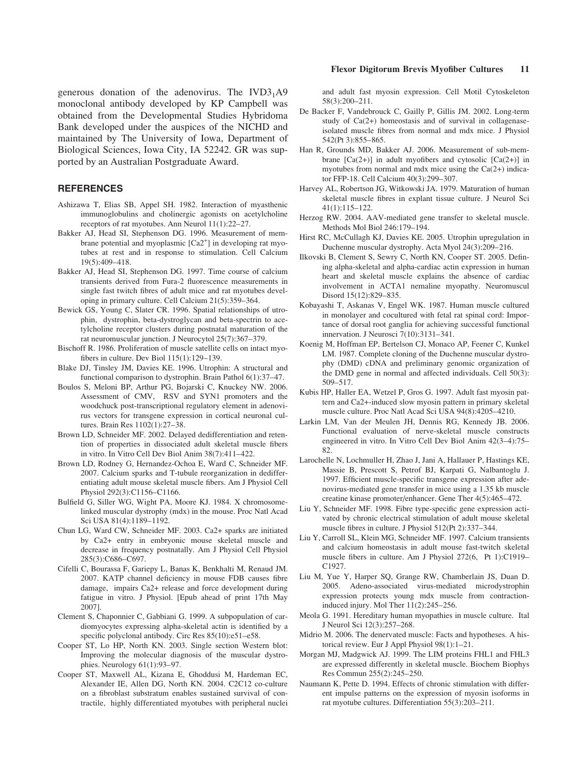generous donation of the adenovirus. The  $IVD3<sub>1</sub>A9$ monoclonal antibody developed by KP Campbell was obtained from the Developmental Studies Hybridoma Bank developed under the auspices of the NICHD and maintained by The University of Iowa, Department of Biological Sciences, Iowa City, IA 52242. GR was supported by an Australian Postgraduate Award.

## REFERENCES

- Ashizawa T, Elias SB, Appel SH. 1982. Interaction of myasthenic immunoglobulins and cholinergic agonists on acetylcholine receptors of rat myotubes. Ann Neurol 11(1):22–27.
- Bakker AJ, Head SI, Stephenson DG. 1996. Measurement of membrane potential and myoplasmic [Ca2<sup>+</sup>] in developing rat myotubes at rest and in response to stimulation. Cell Calcium 19(5):409–418.
- Bakker AJ, Head SI, Stephenson DG. 1997. Time course of calcium transients derived from Fura-2 fluorescence measurements in single fast twitch fibres of adult mice and rat myotubes developing in primary culture. Cell Calcium 21(5):359–364.
- Bewick GS, Young C, Slater CR. 1996. Spatial relationships of utrophin, dystrophin, beta-dystroglycan and beta-spectrin to acetylcholine receptor clusters during postnatal maturation of the rat neuromuscular junction. J Neurocytol 25(7):367–379.
- Bischoff R. 1986. Proliferation of muscle satellite cells on intact myofibers in culture. Dev Biol 115(1):129–139.
- Blake DJ, Tinsley JM, Davies KE. 1996. Utrophin: A structural and functional comparison to dystrophin. Brain Pathol 6(1):37–47.
- Boulos S, Meloni BP, Arthur PG, Bojarski C, Knuckey NW. 2006. Assessment of CMV, RSV and SYN1 promoters and the woodchuck post-transcriptional regulatory element in adenovirus vectors for transgene expression in cortical neuronal cultures. Brain Res 1102(1):27–38.
- Brown LD, Schneider MF. 2002. Delayed dedifferentiation and retention of properties in dissociated adult skeletal muscle fibers in vitro. In Vitro Cell Dev Biol Anim 38(7):411–422.
- Brown LD, Rodney G, Hernandez-Ochoa E, Ward C, Schneider MF. 2007. Calcium sparks and T-tubule reorganization in dedifferentiating adult mouse skeletal muscle fibers. Am J Physiol Cell Physiol 292(3):C1156–C1166.
- Bulfield G, Siller WG, Wight PA, Moore KJ. 1984. X chromosomelinked muscular dystrophy (mdx) in the mouse. Proc Natl Acad Sci USA 81(4):1189–1192.
- Chun LG, Ward CW, Schneider MF. 2003. Ca2+ sparks are initiated by Ca2+ entry in embryonic mouse skeletal muscle and decrease in frequency postnatally. Am J Physiol Cell Physiol 285(3):C686–C697.
- Cifelli C, Bourassa F, Gariepy L, Banas K, Benkhalti M, Renaud JM. 2007. KATP channel deficiency in mouse FDB causes fibre damage, impairs Ca2+ release and force development during fatigue in vitro. J Physiol. [Epub ahead of print 17th May 2007].
- Clement S, Chaponnier C, Gabbiani G. 1999. A subpopulation of cardiomyocytes expressing alpha-skeletal actin is identified by a specific polyclonal antibody. Circ Res 85(10):e51-e58.
- Cooper ST, Lo HP, North KN. 2003. Single section Western blot: Improving the molecular diagnosis of the muscular dystrophies. Neurology 61(1):93–97.
- Cooper ST, Maxwell AL, Kizana E, Ghoddusi M, Hardeman EC, Alexander IE, Allen DG, North KN. 2004. C2C12 co-culture on a fibroblast substratum enables sustained survival of contractile, highly differentiated myotubes with peripheral nuclei

## Flexor Digitorum Brevis Myofiber Cultures 11

and adult fast myosin expression. Cell Motil Cytoskeleton 58(3):200–211.

- De Backer F, Vandebrouck C, Gailly P, Gillis JM. 2002. Long-term study of Ca(2+) homeostasis and of survival in collagenaseisolated muscle fibres from normal and mdx mice. J Physiol 542(Pt 3):855-865.
- Han R, Grounds MD, Bakker AJ. 2006. Measurement of sub-membrane  $[Ca(2+)]$  in adult myofibers and cytosolic  $[Ca(2+)]$  in myotubes from normal and mdx mice using the  $Ca(2+)$  indicator FFP-18. Cell Calcium 40(3):299–307.
- Harvey AL, Robertson JG, Witkowski JA. 1979. Maturation of human skeletal muscle fibres in explant tissue culture. J Neurol Sci 41(1):115–122.
- Herzog RW. 2004. AAV-mediated gene transfer to skeletal muscle. Methods Mol Biol 246:179–194.
- Hirst RC, McCullagh KJ, Davies KE. 2005. Utrophin upregulation in Duchenne muscular dystrophy. Acta Myol 24(3):209–216.
- Ilkovski B, Clement S, Sewry C, North KN, Cooper ST. 2005. Defining alpha-skeletal and alpha-cardiac actin expression in human heart and skeletal muscle explains the absence of cardiac involvement in ACTA1 nemaline myopathy. Neuromuscul Disord 15(12):829–835.
- Kobayashi T, Askanas V, Engel WK. 1987. Human muscle cultured in monolayer and cocultured with fetal rat spinal cord: Importance of dorsal root ganglia for achieving successful functional innervation. J Neurosci 7(10):3131–341.
- Koenig M, Hoffman EP, Bertelson CJ, Monaco AP, Feener C, Kunkel LM. 1987. Complete cloning of the Duchenne muscular dystrophy (DMD) cDNA and preliminary genomic organization of the DMD gene in normal and affected individuals. Cell 50(3): 509–517.
- Kubis HP, Haller EA, Wetzel P, Gros G. 1997. Adult fast myosin pattern and Ca2+-induced slow myosin pattern in primary skeletal muscle culture. Proc Natl Acad Sci USA 94(8):4205–4210.
- Larkin LM, Van der Meulen JH, Dennis RG, Kennedy JB. 2006. Functional evaluation of nerve-skeletal muscle constructs engineered in vitro. In Vitro Cell Dev Biol Anim 42(3–4):75– 82.
- Larochelle N, Lochmuller H, Zhao J, Jani A, Hallauer P, Hastings KE, Massie B, Prescott S, Petrof BJ, Karpati G, Nalbantoglu J. 1997. Efficient muscle-specific transgene expression after adenovirus-mediated gene transfer in mice using a 1.35 kb muscle creatine kinase promoter/enhancer. Gene Ther 4(5):465–472.
- Liu Y, Schneider MF. 1998. Fibre type-specific gene expression activated by chronic electrical stimulation of adult mouse skeletal muscle fibres in culture. J Physiol 512(Pt 2):337–344.
- Liu Y, Carroll SL, Klein MG, Schneider MF. 1997. Calcium transients and calcium homeostasis in adult mouse fast-twitch skeletal muscle fibers in culture. Am J Physiol 272(6, Pt 1):C1919– C1927.
- Liu M, Yue Y, Harper SQ, Grange RW, Chamberlain JS, Duan D. 2005. Adeno-associated virus-mediated microdystrophin expression protects young mdx muscle from contractioninduced injury. Mol Ther 11(2):245–256.
- Meola G. 1991. Hereditary human myopathies in muscle culture. Ital J Neurol Sci 12(3):257–268.
- Midrio M. 2006. The denervated muscle: Facts and hypotheses. A historical review. Eur J Appl Physiol 98(1):1–21.
- Morgan MJ, Madgwick AJ. 1999. The LIM proteins FHL1 and FHL3 are expressed differently in skeletal muscle. Biochem Biophys Res Commun 255(2):245–250.
- Naumann K, Pette D. 1994. Effects of chronic stimulation with different impulse patterns on the expression of myosin isoforms in rat myotube cultures. Differentiation 55(3):203–211.